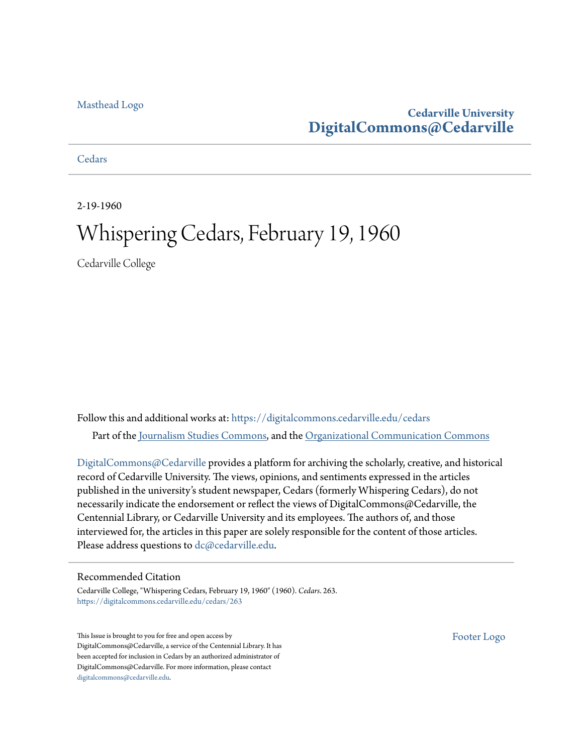#### [Masthead Logo](http://www.cedarville.edu/?utm_source=digitalcommons.cedarville.edu%2Fcedars%2F263&utm_medium=PDF&utm_campaign=PDFCoverPages)

# **Cedarville University [DigitalCommons@Cedarville](https://digitalcommons.cedarville.edu?utm_source=digitalcommons.cedarville.edu%2Fcedars%2F263&utm_medium=PDF&utm_campaign=PDFCoverPages)**

**[Cedars](https://digitalcommons.cedarville.edu/cedars?utm_source=digitalcommons.cedarville.edu%2Fcedars%2F263&utm_medium=PDF&utm_campaign=PDFCoverPages)** 

2-19-1960

# Whispering Cedars, February 19, 1960

Cedarville College

Follow this and additional works at: [https://digitalcommons.cedarville.edu/cedars](https://digitalcommons.cedarville.edu/cedars?utm_source=digitalcommons.cedarville.edu%2Fcedars%2F263&utm_medium=PDF&utm_campaign=PDFCoverPages) Part of the [Journalism Studies Commons](http://network.bepress.com/hgg/discipline/333?utm_source=digitalcommons.cedarville.edu%2Fcedars%2F263&utm_medium=PDF&utm_campaign=PDFCoverPages), and the [Organizational Communication Commons](http://network.bepress.com/hgg/discipline/335?utm_source=digitalcommons.cedarville.edu%2Fcedars%2F263&utm_medium=PDF&utm_campaign=PDFCoverPages)

[DigitalCommons@Cedarville](http://digitalcommons.cedarville.edu/) provides a platform for archiving the scholarly, creative, and historical record of Cedarville University. The views, opinions, and sentiments expressed in the articles published in the university's student newspaper, Cedars (formerly Whispering Cedars), do not necessarily indicate the endorsement or reflect the views of DigitalCommons@Cedarville, the Centennial Library, or Cedarville University and its employees. The authors of, and those interviewed for, the articles in this paper are solely responsible for the content of those articles. Please address questions to [dc@cedarville.edu.](mailto:dc@cedarville.edu)

#### Recommended Citation

Cedarville College, "Whispering Cedars, February 19, 1960" (1960). *Cedars*. 263. [https://digitalcommons.cedarville.edu/cedars/263](https://digitalcommons.cedarville.edu/cedars/263?utm_source=digitalcommons.cedarville.edu%2Fcedars%2F263&utm_medium=PDF&utm_campaign=PDFCoverPages)

This Issue is brought to you for free and open access by DigitalCommons@Cedarville, a service of the Centennial Library. It has been accepted for inclusion in Cedars by an authorized administrator of DigitalCommons@Cedarville. For more information, please contact [digitalcommons@cedarville.edu](mailto:digitalcommons@cedarville.edu).

[Footer Logo](http://www.cedarville.edu/Academics/Library.aspx?utm_source=digitalcommons.cedarville.edu%2Fcedars%2F263&utm_medium=PDF&utm_campaign=PDFCoverPages)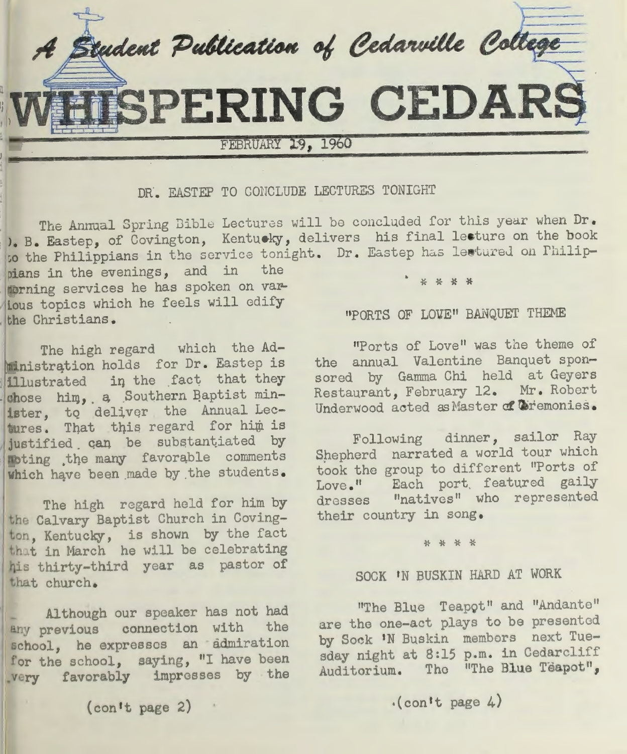

DR. EASTEP TO CONCLUDE LECTURES TONIGHT

The Annual Spring Bible Lectures will be concluded for this year when Dr. ). B. Eastep, of Covington, Kentuoky, delivers his final lecture on the book to the Philippians in the service tonight. Dr. Eastep has lectured on Philip-

pians in the evenings, and in the norning services he has spoken on var-Lous topics which he feels will edify the Christians.

The high regard which the Ad ministration holds for Dr. Eastep is illustrated in the fact that they chose him, a Southern Baptist minister, to deliver the Annual Lectures. That this regard for him is justified can be substantiated by noting .the many favorqble comments which have been made by the students.

The high regard held for him by the Calvary Baptist Church in Covington, Kentucky, is shown by the fact that in March he will be celebrating <sup>q</sup>is thirty-third year as pastor of that church .

Although our speaker has not had any previous connection with the school, he expresses an admiration for the school, saying, "I have been very favorably impresses by the

 $($  con't page 2)  $\cdot$ 

# "PORTS OF LOVE" BANQUET THEME

"Ports of Love" was the theme of the annual Valentine Banquet sponsored by Gamma Chi held at Geyers Restaurant, February 12. Mr. Robert Underwood acted as Master of Ciremonies.

Following dinner, sailor Ray Shepherd narrated a world tour which took the group to different "Ports of Love." Each port featured gaily dresses "natives" who represented their country in song.

#### \* \* \* \*

# SOCK 'N BUSKIN HARD AT WORK

"The Blue Teapot" and "Andante" are the one-act plays to be presented by Sock 'N Buskin members next Tuesday night at 8:15 p.m. in Cedarcliff Auditorium. The "The Blue Teapot",

# $\cdot$ (con't page 4)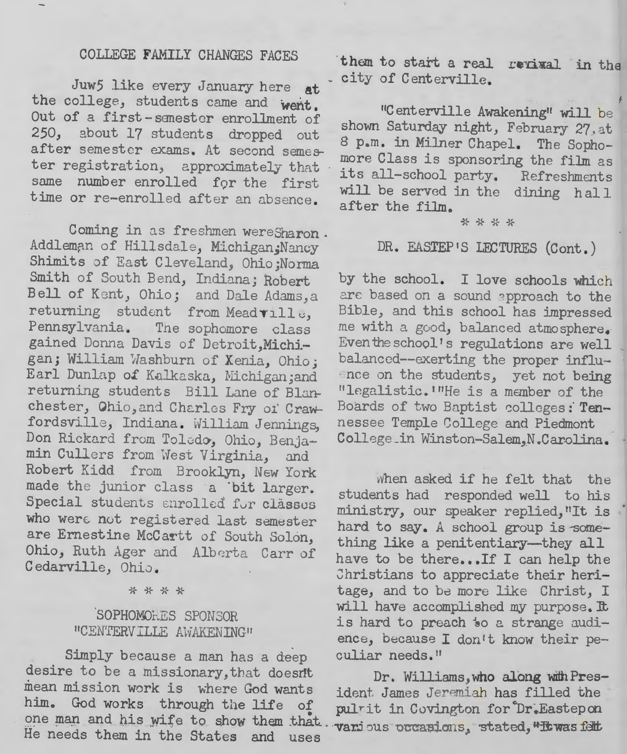# COLLEGE FAMILY CHANGES FACES

Juw5 like every January here at the college, students came and went. Out of a first-semester enrollment of 250, about 17 students dropped out after semester exams. At second semester registration, approximately that same number enrolled for the first time or re-enrolled after an absence.

Coming in as freshmen wereSharon. Addleman of Hillsdale, Michigan; Nancy Shimits of East Cleveland, Ohio;Norma Smith of South Bend, Indiana; Robert Bell of Kent, Ohio; and Dale Adams, a returning student from Meadville, Pennsylvania. The sophomore class gained Donna Davis of Detroit, Michi -gan; William Washburn of Xenia, Ohio; Earl Dunlap of Kalkaska, Michigan;and returning students Bill Lane of Blanchester, Ohio, and Charles Fry of Crawfordsville, Indiana. William Jennings, Don Rickard from Toledo, Ohio, Benjamin Cullers from West Virginia, and Robert Kidd from Brooklyn, New York made the junior class a 'bit larger. Special students anrolled for classes who were not registered last semester are Ernestine McCartt of South Solon, Ohio, Ruth Ager and Alberta Carr of Cedarville, Ohio.

#### \* \* \* \*

# SOPHOMOLES SPONSOR "CENTERVILLE AWAKENING"

Simply because a man has a deep desire to be a missionary, that doesnt mean mission work is where God wants him. God works through the life of one man and his wife to show them that He needs them in the States and uses

them to start a real revival in the city of Centerville.

"Centerville Awakening" will be shown Saturday night, February 27, at 8 p.m. in Milner Chapel. The Sophomore Class is sponsoring the film as its all-school party. Refreshments will be served in the dining hall after the film.

#### \* \* \* \*

# DR. EASTEP'S LECTURES (Cont.)

by the school. I love schools which are based on a sound approach to the Bible, and this school has impressed me with a good, balanced atmosphere. Even the school's regulations are well balanced--exerting the proper influence on the students, yet not being "legalistic. UHe is a member of the Boards of two Baptist colleges: Tennessee Temple College and Piedmont College in Winston-Salem, N.Carolina.

when asked if he felt that the students had responded well to his ministry, our speaker replied, "It is hard to say. A school group is something like a penitentiary-they all have to be there...If I can help the Christians to appreciate their heritage, and to be more like Christ, I will have accomplished my purpose. It is hard to preach to a strange audience, because I don't know their peculiar needs."

Dr. Williams, who along with President James Jeremiah has filled the pulrit in Covington for Dr. Eastepon vanious occasions, stated, "It was felt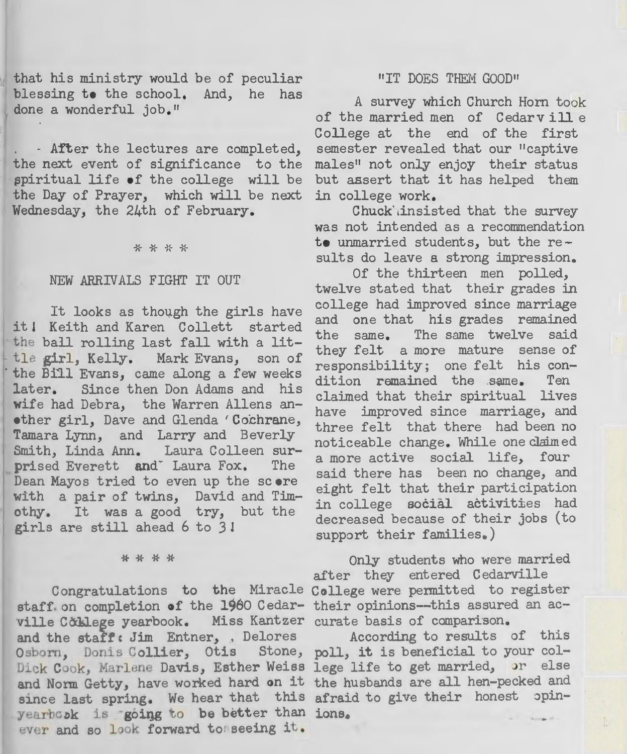that his ministry would be of peculiar blessing to the school. And, he has done a wonderful job."

•

- After the lectures are completed, the next event of significance to the spiritual life ef the college will be the Day of Prayer, which will be next Wednesday, the 24th of February.

\* \* \* \*

#### NEW ARRIVALS FIGHT IT OUT

It looks as though the girls have it l Keith and Karen Collett started the ball rolling last fall with a little girl, Kelly. Mark Evans, son of the Bill Evans, came along a few weeks later. Since then Don Adams and his wife had Debra, the Warren Allens an other girl, Dave and Glenda 'Cochrane, Tamara Lynn, and Larry and Beverly Smith, Linda Ann. Laura Colleen surprised Everett and Laura Fox. The Dean Mayos tried to even up the score with a pair of twins, David and Timothy. It was a good try, but the girls are still ahead 6 to 3l

\* \* \* \*

staff on completion of the 1960 Cedar- their opinions---this assured an acville Cottlege yearbook. Miss Kantzer curate basis of comparison. and the staff: Jim Entner, , Delores Osborn, Donis Collier, Otis Stone, poll, it is beneficial to your col-Dick Cook, Marlene Davis, Esther Weiss lege life to get married, or else bick COOK, Harlene Davis, Booner Welss lege life to got married, the case since last spring. We hear that this afraid to give their honest opinyearbook is going to be better than ions. ever and so look forward to seeing it.

#### "IT DOES THEM GOOD"

A survey which Church Horn took of the married men of Cedarville College at the end of the first semester revealed that our "captive males<sup>"</sup> not only enjoy their status but assert that it has helped them in college work.

Chuck insisted that the survey was not intended as a recommendation te unmarried students, but the results do leave a strong impression.

Of the thirteen men polled, twelve stated that their grades in college had improved since marriage and one that his grades remained the same. The same twelve said they felt a more mature sense of responsibility; one felt his condition remained the same. Ten claimed that their spiritual lives have improved since marriage, and three felt that there had been no noticeable change. While one claimed a more active social life, four said there has been no change, and eight felt that their participation in college social activities had decreased because of their jobs (to support their families.)

Only students who were married after they entered Cedarville

Congratulations to the Miracle College were permitted to register

According to results of this